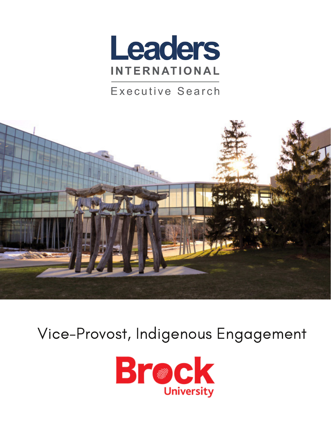

#### Executive Search



# Vice-Provost, Indigenous Engagement

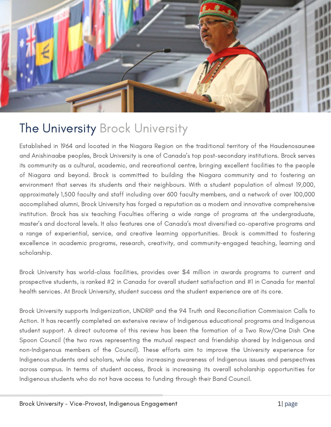

### The University Brock University

Established in 1964 and located in the Niagara Region on the traditional territory of the Haudenosaunee and Anishinaabe peoples, Brock University is one of Canada's top post-secondary institutions. Brock serves its community as a cultural, academic, and recreational centre, bringing excellent facilities to the people of Niagara and beyond. Brock is committed to building the Niagara community and to fostering an environment that serves its students and their neighbours. With a student population of almost 19,000, approximately 1,500 faculty and staff including over 600 faculty members, and a network of over 100,000 accomplished alumni, Brock University has forged a reputation as a modern and innovative comprehensive institution. Brock has six teaching Faculties offering a wide range of programs at the undergraduate, master's and doctoral levels. It also features one of Canada's most diversified co-operative programs and a range of experiential, service, and creative learning opportunities. Brock is committed to fostering excellence in academic programs, research, creativity, and community-engaged teaching, learning and scholarship.

Brock University has world-class facilities, provides over \$4 million in awards programs to current and prospective students, is ranked #2 in Canada for overall student satisfaction and #1 in Canada for mental health services. At Brock University, student success and the student experience are at its core.

Brock University supports Indigenization, UNDRIP and the 94 Truth and Reconciliation Commission Calls to Action. It has recently completed an extensive review of Indigenous educational programs and Indigenous student support. A direct outcome of this review has been the formation of a Two Row/One Dish One Spoon Council (the two rows representing the mutual respect and friendship shared by Indigenous and non-Indigenous members of the Council). These efforts aim to improve the University experience for Indigenous students and scholars, while also increasing awareness of Indigenous issues and perspectives across campus. In terms of student access, Brock is increasing its overall scholarship opportunities for Indigenous students who do not have access to funding through their Band Council.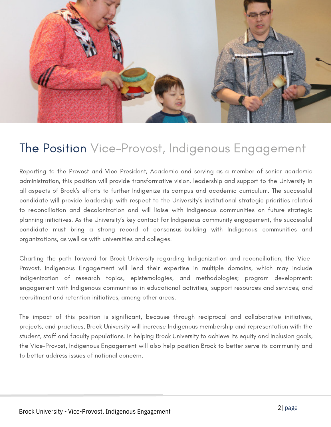

#### The Position Vice-Provost, Indigenous Engagement

Reporting to the Provost and Vice-President, Academic and serving as a member of senior academic administration, this position will provide transformative vision, leadership and support to the University in all aspects of Brock's efforts to further Indigenize its campus and academic curriculum. The successful candidate will provide leadership with respect to the University's institutional strategic priorities related to reconciliation and decolonization and will liaise with Indigenous communities on future strategic planning initiatives. As the University's key contact for Indigenous community engagement, the successful candidate must bring a strong record of consensus-building with Indigenous communities and organizations, as well as with universities and colleges.

Charting the path forward for Brock University regarding Indigenization and reconciliation, the Vice-Provost, Indigenous Engagement will lend their expertise in multiple domains, which may include Indigenization of research topics, epistemologies, and methodologies; program development; engagement with Indigenous communities in educational activities; support resources and services; and recruitment and retention initiatives, among other areas.

The impact of this position is significant, because through reciprocal and collaborative initiatives, projects, and practices, Brock University will increase Indigenous membership and representation with the student, staff and faculty populations. In helping Brock University to achieve its equity and inclusion goals, the Vice-Provost, Indigenous Engagement will also help position Brock to better serve its community and to better address issues of national concern.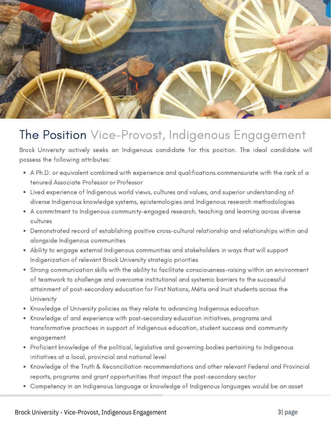

### The Position Vice-Provost, Indigenous Engagement

Brock University actively seeks an Indigenous candidate for this position. The ideal candidate will possess the following attributes:

- A Ph.D. or equivalent combined with experience and qualifications commensurate with the rank of a tenured Associate Professor or Professor
- Lived experience of Indigenous world views, cultures and values, and superior understanding of diverse Indigenous knowledge systems, epistemologies and Indigenous research methodologies
- A commitment to Indigenous community-engaged research, teaching and learning across diverse cultures
- Demonstrated record of establishing positive cross-cultural relationship and relationships within and alongside Indigenous communities
- Ability to engage external Indigenous communities and stakeholders in ways that will support Indigenization of relevant Brock University strategic priorities
- Strong communication skills with the ability to facilitate consciousness-raising within an environment of teamwork to challenge and overcome institutional and systemic barriers to the successful attainment of post-secondary education for First Nations, Métis and Inuit students across the **University**
- Knowledge of University policies as they relate to advancing Indigenous education
- Knowledge of and experience with post-secondary education initiatives, programs and transformative practices in support of Indigenous education, student success and community engagement
- Proficient knowledge of the political, legislative and governing bodies pertaining to Indigenous initiatives at a local, provincial and national level
- Knowledge of the Truth & Reconciliation recommendations and other relevant Federal and Provincial reports, programs and grant opportunities that impact the post-secondary sector
- Competency in an Indigenous language or knowledge of Indigenous languages would be an asset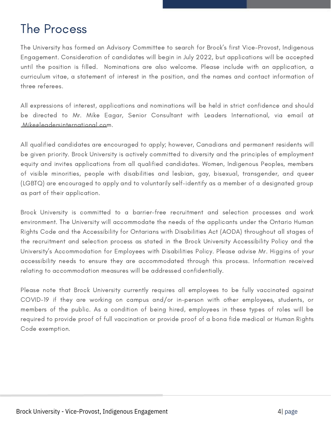## The Process

The University has formed an Advisory Committee to search for Brock's first Vice-Provost, Indigenous Engagement. Consideration of candidates will begin in July 2022, but applications will be accepted until the position is filled. Nominations are also welcome. Please include with an application, a curriculum vitae, a statement of interest in the position, and the names and contact information of three referees.

All expressions of interest, applications and nominations will be held in strict confidence and should be directed to Mr. Mike Eagar, Senior Consultant with Leaders International, via email at [Mike@leadersinternational.com](mailto:Mike@leadersinternational.com).

All qualified candidates are encouraged to apply; however, Canadians and permanent residents will be given priority. Brock University is actively committed to diversity and the principles of employment equity and invites applications from all qualified candidates. Women, Indigenous Peoples, members of visible minorities, people with disabilities and lesbian, gay, bisexual, transgender, and queer (LGBTQ) are encouraged to apply and to voluntarily self-identify as a member of a designated group as part of their application.

Brock University is committed to a barrier-free recruitment and selection processes and work environment. The University will accommodate the needs of the applicants under the Ontario Human Rights Code and the Accessibility for Ontarians with Disabilities Act (AODA) throughout all stages of the recruitment and selection process as stated in the Brock University Accessibility Policy and the University's Accommodation for Employees with Disabilities Policy. Please advise Mr. Higgins of your accessibility needs to ensure they are accommodated through this process. Information received relating to accommodation measures will be addressed confidentially.

Please note that Brock University currently requires all employees to be fully vaccinated against COVID-19 if they are working on campus and/or in-person with other employees, students, or members of the public. As a condition of being hired, employees in these types of roles will be required to provide proof of full vaccination or provide proof of a bona fide medical or Human Rights Code exemption.